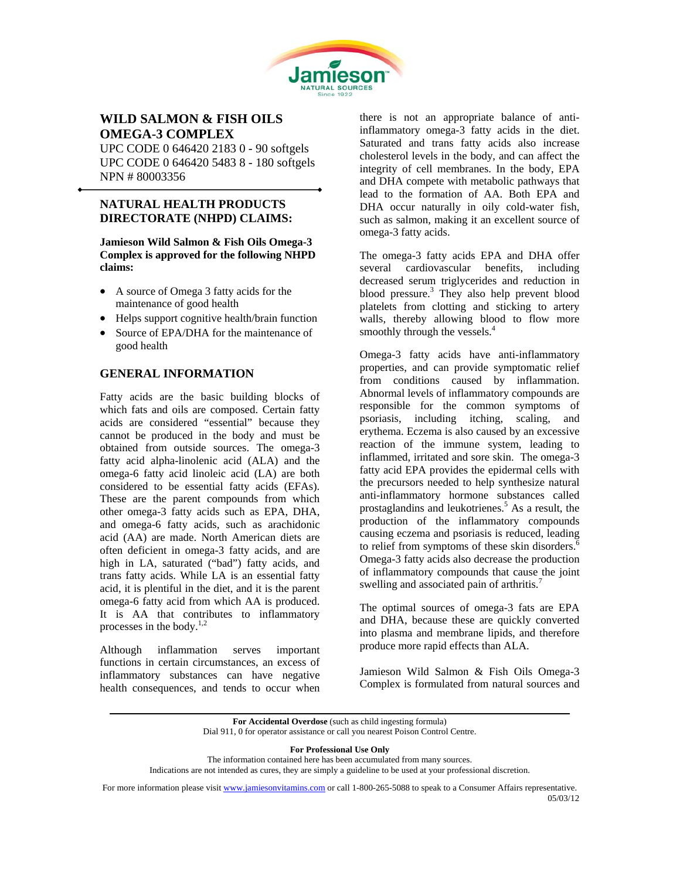

# **WILD SALMON & FISH OILS OMEGA-3 COMPLEX**

UPC CODE 0 646420 2183 0 - 90 softgels UPC CODE 0 646420 5483 8 - 180 softgels NPN # 80003356

## **NATURAL HEALTH PRODUCTS DIRECTORATE (NHPD) CLAIMS:**

l

**Jamieson Wild Salmon & Fish Oils Omega-3 Complex is approved for the following NHPD claims:** 

- A source of Omega 3 fatty acids for the maintenance of good health
- Helps support cognitive health/brain function
- Source of EPA/DHA for the maintenance of good health

## **GENERAL INFORMATION**

Fatty acids are the basic building blocks of which fats and oils are composed. Certain fatty acids are considered "essential" because they cannot be produced in the body and must be obtained from outside sources. The omega-3 fatty acid alpha-linolenic acid (ALA) and the omega-6 fatty acid linoleic acid (LA) are both considered to be essential fatty acids (EFAs). These are the parent compounds from which other omega-3 fatty acids such as EPA, DHA, and omega-6 fatty acids, such as arachidonic acid (AA) are made. North American diets are often deficient in omega-3 fatty acids, and are high in LA, saturated ("bad") fatty acids, and trans fatty acids. While LA is an essential fatty acid, it is plentiful in the diet, and it is the parent omega-6 fatty acid from which AA is produced. It is AA that contributes to inflammatory processes in the body.<sup>1,2</sup>

Although inflammation serves important functions in certain circumstances, an excess of inflammatory substances can have negative health consequences, and tends to occur when there is not an appropriate balance of antiinflammatory omega-3 fatty acids in the diet. Saturated and trans fatty acids also increase cholesterol levels in the body, and can affect the integrity of cell membranes. In the body, EPA and DHA compete with metabolic pathways that lead to the formation of AA. Both EPA and DHA occur naturally in oily cold-water fish, such as salmon, making it an excellent source of omega-3 fatty acids.

The omega-3 fatty acids EPA and DHA offer several cardiovascular benefits, including decreased serum triglycerides and reduction in blood pressure. $3$  They also help prevent blood platelets from clotting and sticking to artery walls, thereby allowing blood to flow more smoothly through the vessels.<sup>4</sup>

Omega-3 fatty acids have anti-inflammatory properties, and can provide symptomatic relief from conditions caused by inflammation. Abnormal levels of inflammatory compounds are responsible for the common symptoms of psoriasis, including itching, scaling, and erythema. Eczema is also caused by an excessive reaction of the immune system, leading to inflammed, irritated and sore skin. The omega-3 fatty acid EPA provides the epidermal cells with the precursors needed to help synthesize natural anti-inflammatory hormone substances called prostaglandins and leukotrienes.<sup>5</sup> As a result, the production of the inflammatory compounds causing eczema and psoriasis is reduced, leading to relief from symptoms of these skin disorders. $\overline{6}$ Omega-3 fatty acids also decrease the production of inflammatory compounds that cause the joint swelling and associated pain of arthritis.<sup>7</sup>

The optimal sources of omega-3 fats are EPA and DHA, because these are quickly converted into plasma and membrane lipids, and therefore produce more rapid effects than ALA.

Jamieson Wild Salmon & Fish Oils Omega-3 Complex is formulated from natural sources and

**For Professional Use Only** 

The information contained here has been accumulated from many sources. Indications are not intended as cures, they are simply a guideline to be used at your professional discretion.

For more information please visit www.jamiesonvitamins.com or call 1-800-265-5088 to speak to a Consumer Affairs representative. 05/03/12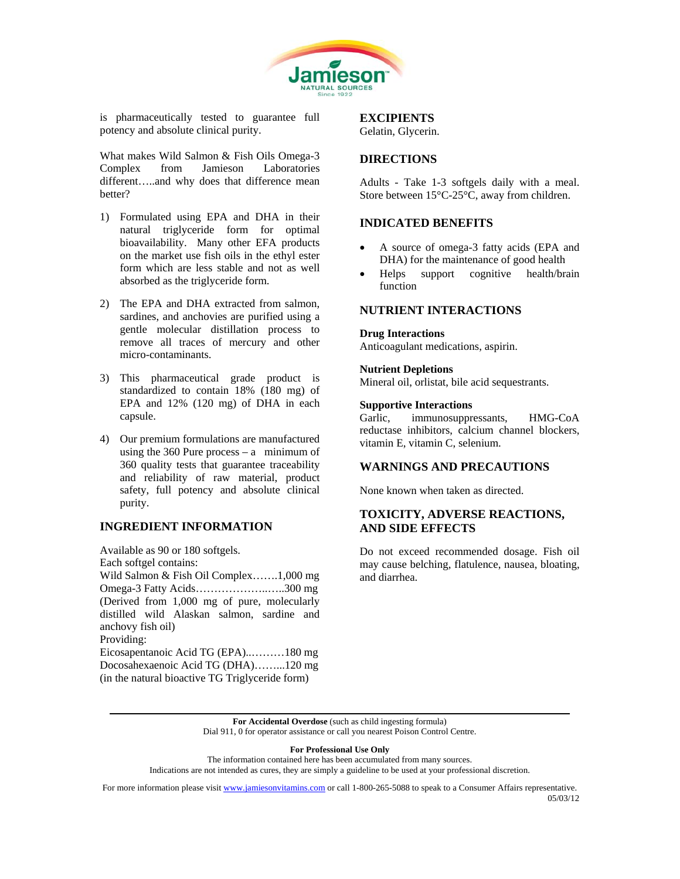

is pharmaceutically tested to guarantee full potency and absolute clinical purity.

What makes Wild Salmon & Fish Oils Omega-3 Complex from Jamieson Laboratories different…..and why does that difference mean better?

- 1) Formulated using EPA and DHA in their natural triglyceride form for optimal bioavailability. Many other EFA products on the market use fish oils in the ethyl ester form which are less stable and not as well absorbed as the triglyceride form.
- 2) The EPA and DHA extracted from salmon, sardines, and anchovies are purified using a gentle molecular distillation process to remove all traces of mercury and other micro-contaminants.
- 3) This pharmaceutical grade product is standardized to contain 18% (180 mg) of EPA and 12% (120 mg) of DHA in each capsule.
- 4) Our premium formulations are manufactured using the  $360$  Pure process – a minimum of 360 quality tests that guarantee traceability and reliability of raw material, product safety, full potency and absolute clinical purity.

## **INGREDIENT INFORMATION**

Available as 90 or 180 softgels. Each softgel contains: Wild Salmon & Fish Oil Complex…….1,000 mg Omega-3 Fatty Acids………………..…..300 mg (Derived from 1,000 mg of pure, molecularly distilled wild Alaskan salmon, sardine and anchovy fish oil) Providing: Eicosapentanoic Acid TG (EPA)..………180 mg Docosahexaenoic Acid TG (DHA)……...120 mg

(in the natural bioactive TG Triglyceride form)

# **EXCIPIENTS**

Gelatin, Glycerin.

## **DIRECTIONS**

Adults - Take 1-3 softgels daily with a meal. Store between 15°C-25°C, away from children.

## **INDICATED BENEFITS**

- A source of omega-3 fatty acids (EPA and DHA) for the maintenance of good health
- Helps support cognitive health/brain function

#### **NUTRIENT INTERACTIONS**

#### **Drug Interactions**

Anticoagulant medications, aspirin.

#### **Nutrient Depletions**

Mineral oil, orlistat, bile acid sequestrants.

#### **Supportive Interactions**

Garlic, immunosuppressants, HMG-CoA reductase inhibitors, calcium channel blockers, vitamin E, vitamin C, selenium.

## **WARNINGS AND PRECAUTIONS**

None known when taken as directed.

# **TOXICITY, ADVERSE REACTIONS, AND SIDE EFFECTS**

Do not exceed recommended dosage. Fish oil may cause belching, flatulence, nausea, bloating, and diarrhea.

**For Accidental Overdose** (such as child ingesting formula) Dial 911, 0 for operator assistance or call you nearest Poison Control Centre.

**For Professional Use Only** 

The information contained here has been accumulated from many sources.

Indications are not intended as cures, they are simply a guideline to be used at your professional discretion.

For more information please visit www.jamiesonvitamins.com or call 1-800-265-5088 to speak to a Consumer Affairs representative.<br>05/03/12 05/03/12